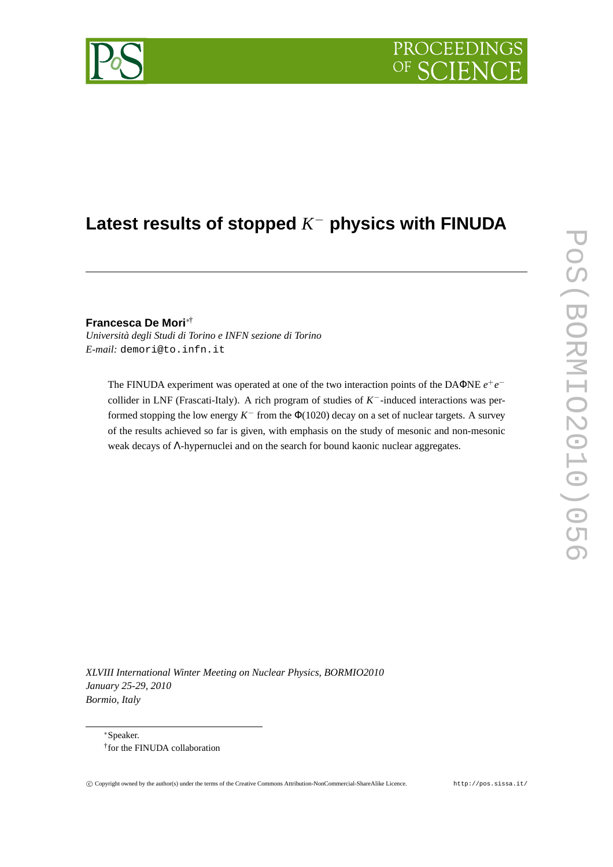# **PROCEEDIN**

# **Latest results of stopped** *K* <sup>−</sup> **physics with FINUDA**

**Francesca De Mori**∗†

*Università degli Studi di Torino e INFN sezione di Torino E-mail:* demori@to.infn.it

The FINUDA experiment was operated at one of the two interaction points of the DAΦNE  $e^+e^$ collider in LNF (Frascati-Italy). A rich program of studies of *K* <sup>−</sup>-induced interactions was performed stopping the low energy  $K^-$  from the  $\Phi(1020)$  decay on a set of nuclear targets. A survey of the results achieved so far is given, with emphasis on the study of mesonic and non-mesonic weak decays of Λ-hypernuclei and on the search for bound kaonic nuclear aggregates.

*XLVIII International Winter Meeting on Nuclear Physics, BORMIO2010 January 25-29, 2010 Bormio, Italy*

<sup>∗</sup>Speaker. † for the FINUDA collaboration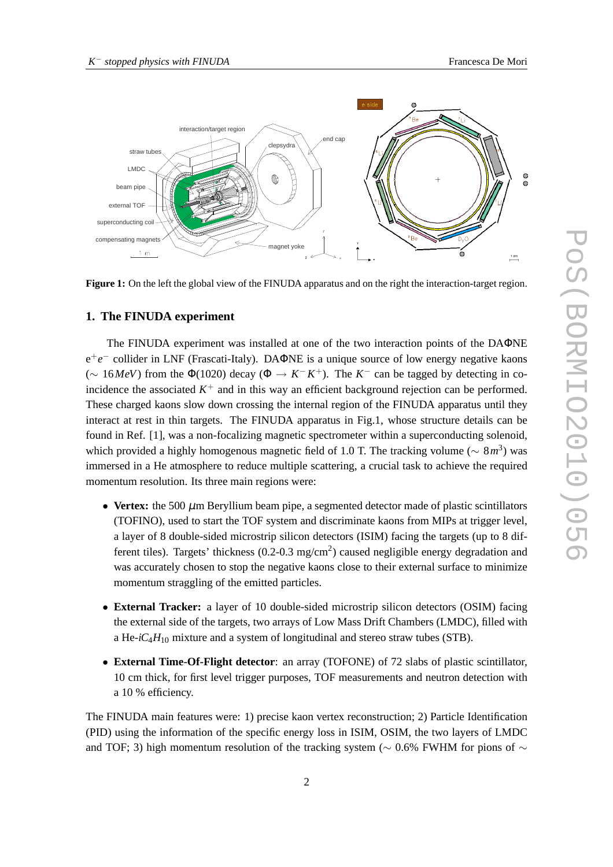

**Figure 1:** On the left the global view of the FINUDA apparatus and on the right the interaction-target region.

## **1. The FINUDA experiment**

The FINUDA experiment was installed at one of the two interaction points of the DAΦNE e +*e* <sup>−</sup> collider in LNF (Frascati-Italy). DAΦNE is a unique source of low energy negative kaons ( $\sim$  16*MeV*) from the Φ(1020) decay (Φ → *K*<sup>−</sup> *K*<sup>+</sup>). The *K*<sup>−</sup> can be tagged by detecting in coincidence the associated  $K^+$  and in this way an efficient background rejection can be performed. These charged kaons slow down crossing the internal region of the FINUDA apparatus until they interact at rest in thin targets. The FINUDA apparatus in Fig.1, whose structure details can be found in Ref. [1], was a non-focalizing magnetic spectrometer within a superconducting solenoid, which provided a highly homogenous magnetic field of 1.0 T. The tracking volume (∼ 8*m* 3 ) was immersed in a He atmosphere to reduce multiple scattering, a crucial task to achieve the required momentum resolution. Its three main regions were:

- **Vertex:** the 500  $\mu$ m Beryllium beam pipe, a segmented detector made of plastic scintillators (TOFINO), used to start the TOF system and discriminate kaons from MIPs at trigger level, a layer of 8 double-sided microstrip silicon detectors (ISIM) facing the targets (up to 8 different tiles). Targets' thickness (0.2-0.3 mg/cm<sup>2</sup>) caused negligible energy degradation and was accurately chosen to stop the negative kaons close to their external surface to minimize momentum straggling of the emitted particles.
- **External Tracker:** a layer of 10 double-sided microstrip silicon detectors (OSIM) facing the external side of the targets, two arrays of Low Mass Drift Chambers (LMDC), filled with a He- $iC_4H_{10}$  mixture and a system of longitudinal and stereo straw tubes (STB).
- **External Time-Of-Flight detector**: an array (TOFONE) of 72 slabs of plastic scintillator, 10 cm thick, for first level trigger purposes, TOF measurements and neutron detection with a 10 % efficiency.

The FINUDA main features were: 1) precise kaon vertex reconstruction; 2) Particle Identification (PID) using the information of the specific energy loss in ISIM, OSIM, the two layers of LMDC and TOF; 3) high momentum resolution of the tracking system ( $\sim$  0.6% FWHM for pions of  $\sim$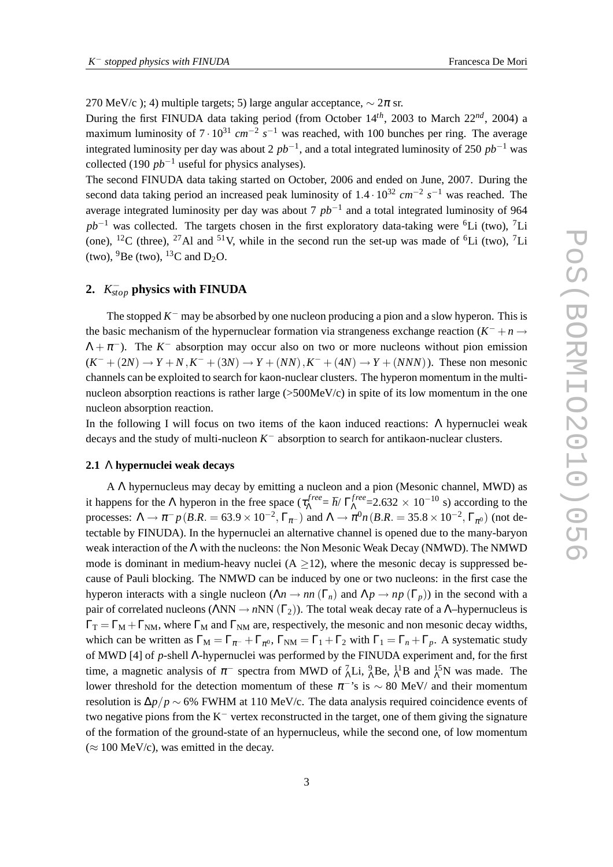270 MeV/c ); 4) multiple targets; 5) large angular acceptance,  $\sim$  2 $\pi$  sr.

During the first FINUDA data taking period (from October 14*th*, 2003 to March 22*nd*, 2004) a maximum luminosity of  $7 \cdot 10^{31}$  *cm*<sup>−2</sup> s<sup>−1</sup> was reached, with 100 bunches per ring. The average integrated luminosity per day was about 2 *pb*−<sup>1</sup> , and a total integrated luminosity of 250 *pb*−<sup>1</sup> was collected (190  $pb^{-1}$  useful for physics analyses).

The second FINUDA data taking started on October, 2006 and ended on June, 2007. During the second data taking period an increased peak luminosity of 1.4 · 10<sup>32</sup> *cm*<sup>−2</sup> s<sup>−1</sup> was reached. The average integrated luminosity per day was about 7 *pb*−<sup>1</sup> and a total integrated luminosity of 964 *pb*<sup>-1</sup> was collected. The targets chosen in the first exploratory data-taking were <sup>6</sup>Li (two), <sup>7</sup>Li (one), <sup>12</sup>C (three), <sup>27</sup>Al and <sup>51</sup>V, while in the second run the set-up was made of <sup>6</sup>Li (two), <sup>7</sup>Li (two),  $^{9}$ Be (two),  $^{13}$ C and D<sub>2</sub>O.

# **2.** *K* − *stop* **physics with FINUDA**

The stopped  $K^-$  may be absorbed by one nucleon producing a pion and a slow hyperon. This is the basic mechanism of the hypernuclear formation via strangeness exchange reaction  $(K^- + n \rightarrow$  $\Lambda + \pi^-$ ). The  $K^-$  absorption may occur also on two or more nucleons without pion emission  $(K^- + (2N) \to Y + N, K^- + (3N) \to Y + (NN), K^- + (4N) \to Y + (NNN)$ ). These non mesonic channels can be exploited to search for kaon-nuclear clusters. The hyperon momentum in the multinucleon absorption reactions is rather large (>500MeV/c) in spite of its low momentum in the one nucleon absorption reaction.

In the following I will focus on two items of the kaon induced reactions: Λ hypernuclei weak  $\frac{1}{2}$  decays and the study of multi-nucleon  $K^-$  absorption to search for antikaon-nuclear clusters.

## **2.1** Λ **hypernuclei weak decays**

A Λ hypernucleus may decay by emitting a nucleon and a pion (Mesonic channel, MWD) as it happens for the  $\Lambda$  hyperon in the free space ( $\tau_{\Lambda}^{free}$ *free* =  $\hbar$ / Γ<sup>*free*</sup>  $N_{\Lambda}^{free}$ =2.632 × 10<sup>-10</sup> s) according to the processes:  $\Lambda \to \pi^- p(B.R. = 63.9 \times 10^{-2}, \Gamma_{\pi^-})$  and  $\Lambda \to \pi^0 n(B.R. = 35.8 \times 10^{-2}, \Gamma_{\pi^0})$  (not detectable by FINUDA). In the hypernuclei an alternative channel is opened due to the many-baryon weak interaction of the Λ with the nucleons: the Non Mesonic Weak Decay (NMWD). The NMWD mode is dominant in medium-heavy nuclei  $(A \geq 12)$ , where the mesonic decay is suppressed because of Pauli blocking. The NMWD can be induced by one or two nucleons: in the first case the hyperon interacts with a single nucleon ( $\Lambda n \to nn$  ( $\Gamma_n$ ) and  $\Lambda p \to np$  ( $\Gamma_p$ )) in the second with a pair of correlated nucleons ( $\triangle NN \rightarrow nNN$  ( $\Gamma_2$ )). The total weak decay rate of a  $\triangle$ -hypernucleus is  $\Gamma_T = \Gamma_M + \Gamma_{NM}$ , where  $\Gamma_M$  and  $\Gamma_{NM}$  are, respectively, the mesonic and non mesonic decay widths, which can be written as  $\Gamma_M = \Gamma_{\pi^-} + \Gamma_{\pi^0}$ ,  $\Gamma_{NM} = \Gamma_1 + \Gamma_2$  with  $\Gamma_1 = \Gamma_n + \Gamma_p$ . A systematic study of MWD [4] of *p*-shell Λ-hypernuclei was performed by the FINUDA experiment and, for the first time, a magnetic analysis of  $\pi^-$  spectra from MWD of  $^7_\Lambda$ Li,  $^9_\Lambda$ Be,  $^{11}_\Lambda$ B and  $^{15}_\Lambda$ N was made. The lower threshold for the detection momentum of these  $\pi$ <sup>-</sup>'s is ~ 80 MeV/ and their momentum resolution is ∆*p*/*p* ∼ 6% FWHM at 110 MeV/c. The data analysis required coincidence events of two negative pions from the K<sup>−</sup> vertex reconstructed in the target, one of them giving the signature of the formation of the ground-state of an hypernucleus, while the second one, of low momentum  $(\approx 100 \text{ MeV/c})$ , was emitted in the decay.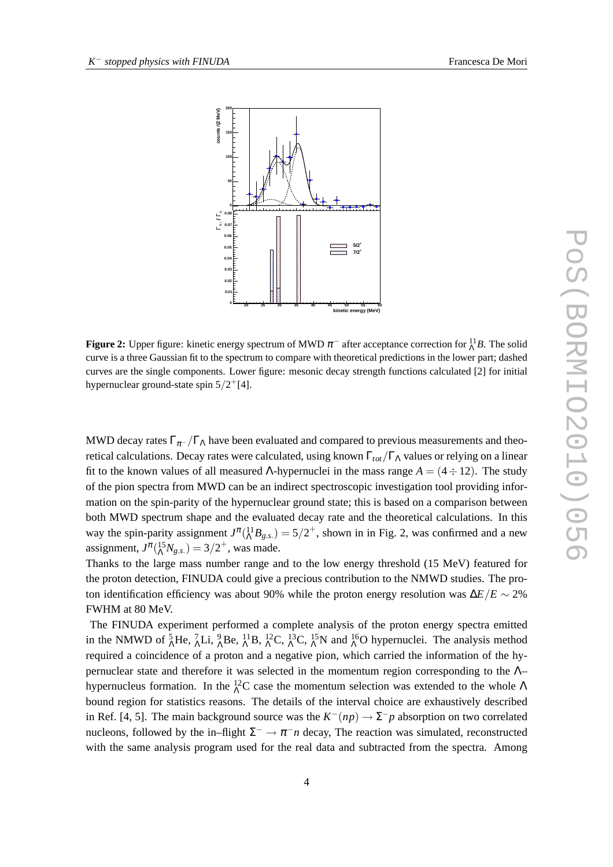

**Figure 2:** Upper figure: kinetic energy spectrum of MWD  $\pi^-$  after acceptance correction for  $^{11}_\Lambda B$ . The solid curve is a three Gaussian fit to the spectrum to compare with theoretical predictions in the lower part; dashed curves are the single components. Lower figure: mesonic decay strength functions calculated [2] for initial hypernuclear ground-state spin  $5/2^{+}[4]$ .

MWD decay rates  $\Gamma_{\pi^-}/\Gamma_{\Lambda}$  have been evaluated and compared to previous measurements and theoretical calculations. Decay rates were calculated, using known  $\Gamma_{tot}/\Gamma_{\Lambda}$  values or relying on a linear fit to the known values of all measured Λ-hypernuclei in the mass range  $A = (4 \div 12)$ . The study of the pion spectra from MWD can be an indirect spectroscopic investigation tool providing information on the spin-parity of the hypernuclear ground state; this is based on a comparison between both MWD spectrum shape and the evaluated decay rate and the theoretical calculations. In this way the spin-parity assignment  $J^{\pi}({}^{11}_{\Lambda}B_{g.s.}) = 5/2^+$ , shown in in Fig. 2, was confirmed and a new assignment,  $J^{\pi}({}^{15}_{\Lambda}N_{g.s.}) = 3/2^+$ , was made.

Thanks to the large mass number range and to the low energy threshold (15 MeV) featured for the proton detection, FINUDA could give a precious contribution to the NMWD studies. The proton identification efficiency was about 90% while the proton energy resolution was ∆*E*/*E* ∼ 2% FWHM at 80 MeV.

The FINUDA experiment performed a complete analysis of the proton energy spectra emitted in the NMWD of  ${}_{\Lambda}^{5}$ He,  ${}_{\Lambda}^{7}$ Li,  ${}_{\Lambda}^{9}$ Be,  ${}_{\Lambda}^{11}$ B,  ${}_{\Lambda}^{12}$ C,  ${}_{\Lambda}^{13}$ C,  ${}_{\Lambda}^{15}$ N and  ${}_{\Lambda}^{16}$ O hypernuclei. The analysis method required a coincidence of a proton and a negative pion, which carried the information of the hypernuclear state and therefore it was selected in the momentum region corresponding to the Λ– hypernucleus formation. In the  ${}^{12}_{\Lambda}$ C case the momentum selection was extended to the whole  $\Lambda$ bound region for statistics reasons. The details of the interval choice are exhaustively described in Ref. [4, 5]. The main background source was the  $K^-(np) \to \Sigma^- p$  absorption on two correlated nucleons, followed by the in–flight  $\Sigma^- \to \pi^- n$  decay, The reaction was simulated, reconstructed with the same analysis program used for the real data and subtracted from the spectra. Among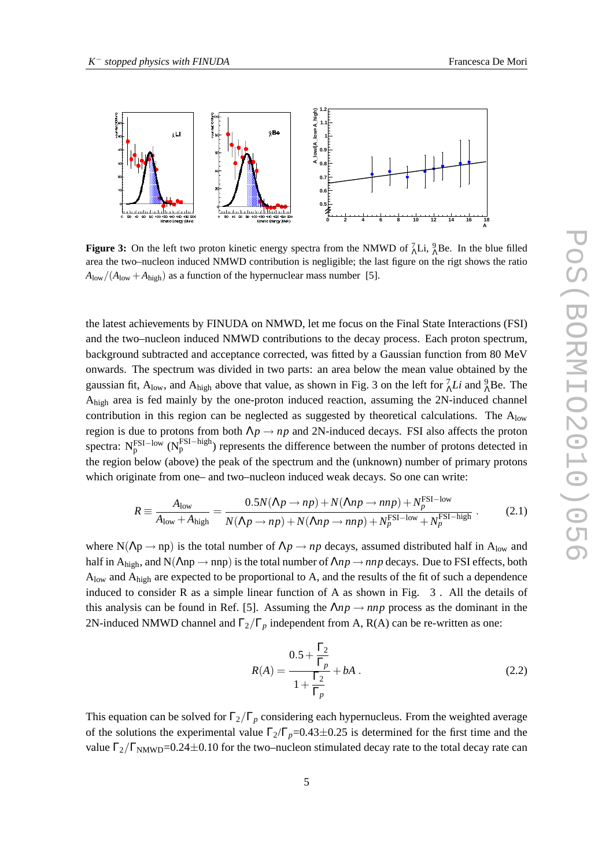

**Figure 3:** On the left two proton kinetic energy spectra from the NMWD of  ${}_{\Lambda}^{7}Li$ ,  ${}_{\Lambda}^{9}Be$ . In the blue filled area the two–nucleon induced NMWD contribution is negligible; the last figure on the rigt shows the ratio  $A_{\text{low}}/(A_{\text{low}}+A_{\text{high}})$  as a function of the hypernuclear mass number [5].

the latest achievements by FINUDA on NMWD, let me focus on the Final State Interactions (FSI) and the two–nucleon induced NMWD contributions to the decay process. Each proton spectrum, background subtracted and acceptance corrected, was fitted by a Gaussian function from 80 MeV onwards. The spectrum was divided in two parts: an area below the mean value obtained by the gaussian fit,  $A_{low}$ , and  $A_{high}$  above that value, as shown in Fig. 3 on the left for  ${}_{\Lambda}^7 Li$  and  ${}_{\Lambda}^9$ Be. The Ahigh area is fed mainly by the one-proton induced reaction, assuming the 2N-induced channel contribution in this region can be neglected as suggested by theoretical calculations. The  $A<sub>low</sub>$ region is due to protons from both  $\Lambda p \to np$  and 2N-induced decays. FSI also affects the proton spectra:  $N_p^{FSI-low}$  ( $N_p^{FSI-high}$ ) represents the difference between the number of protons detected in the region below (above) the peak of the spectrum and the (unknown) number of primary protons which originate from one– and two–nucleon induced weak decays. So one can write:

$$
R = \frac{A_{\text{low}}}{A_{\text{low}} + A_{\text{high}}} = \frac{0.5N(\Lambda p \to np) + N(\Lambda np \to nnp) + N_p^{\text{FSI}-\text{low}}}{N(\Lambda p \to np) + N(\Lambda np \to nnp) + N_p^{\text{FSI}-\text{low}} + N_p^{\text{FSI}-\text{high}}} \tag{2.1}
$$

where N( $\Lambda p \rightarrow np$ ) is the total number of  $\Lambda p \rightarrow np$  decays, assumed distributed half in A<sub>low</sub> and half in A<sub>high</sub>, and N( $\Lambda$ np  $\rightarrow$  nnp) is the total number of  $\Lambda np \rightarrow np$  decays. Due to FSI effects, both  $A_{\text{low}}$  and  $A_{\text{high}}$  are expected to be proportional to A, and the results of the fit of such a dependence induced to consider R as a simple linear function of A as shown in Fig. 3 . All the details of this analysis can be found in Ref. [5]. Assuming the  $\Lambda np \rightarrow np$  process as the dominant in the 2N-induced NMWD channel and  $\Gamma_2/\Gamma_p$  independent from A, R(A) can be re-written as one:

$$
R(A) = \frac{0.5 + \frac{\Gamma_2}{\Gamma_p}}{1 + \frac{\Gamma_2}{\Gamma_p}} + bA
$$
 (2.2)

This equation can be solved for  $\Gamma_2/\Gamma_p$  considering each hypernucleus. From the weighted average of the solutions the experimental value  $\Gamma_2/\Gamma_p=0.43\pm0.25$  is determined for the first time and the value  $\Gamma_2/\Gamma_{\text{NMWD}}$ =0.24 $\pm$ 0.10 for the two–nucleon stimulated decay rate to the total decay rate can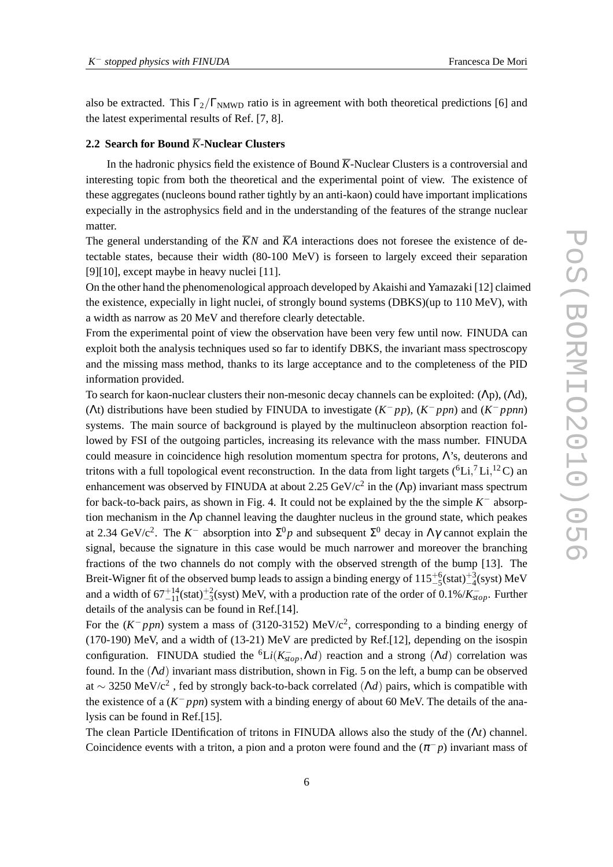also be extracted. This  $\Gamma_2/\Gamma_{\text{NMWD}}$  ratio is in agreement with both theoretical predictions [6] and the latest experimental results of Ref. [7, 8].

# **2.2 Search for Bound**  $\overline{K}$ **-Nuclear Clusters**

In the hadronic physics field the existence of Bound  $\overline{K}$ -Nuclear Clusters is a controversial and interesting topic from both the theoretical and the experimental point of view. The existence of these aggregates (nucleons bound rather tightly by an anti-kaon) could have important implications expecially in the astrophysics field and in the understanding of the features of the strange nuclear matter.

The general understanding of the  $\overline{K}N$  and  $\overline{K}A$  interactions does not foresee the existence of detectable states, because their width (80-100 MeV) is forseen to largely exceed their separation [9][10], except maybe in heavy nuclei [11].

On the other hand the phenomenological approach developed by Akaishi and Yamazaki [12] claimed the existence, expecially in light nuclei, of strongly bound systems (DBKS)(up to 110 MeV), with a width as narrow as 20 MeV and therefore clearly detectable.

From the experimental point of view the observation have been very few until now. FINUDA can exploit both the analysis techniques used so far to identify DBKS, the invariant mass spectroscopy and the missing mass method, thanks to its large acceptance and to the completeness of the PID information provided.

To search for kaon-nuclear clusters their non-mesonic decay channels can be exploited: (Λp), (Λd), (At) distributions have been studied by FINUDA to investigate  $(K^- pp)$ ,  $(K^- ppn)$  and  $(K^- ppnn)$ systems. The main source of background is played by the multinucleon absorption reaction followed by FSI of the outgoing particles, increasing its relevance with the mass number. FINUDA could measure in coincidence high resolution momentum spectra for protons, Λ's, deuterons and tritons with a full topological event reconstruction. In the data from light targets ( ${}^{6}Li, {}^{7}Li, {}^{12}C$ ) an enhancement was observed by FINUDA at about 2.25  $GeV/c^2$  in the ( $\Lambda$ p) invariant mass spectrum for back-to-back pairs, as shown in Fig. 4. It could not be explained by the the simple  $K^-$  absorption mechanism in the Λp channel leaving the daughter nucleus in the ground state, which peakes at 2.34 GeV/c<sup>2</sup>. The  $K^-$  absorption into  $\Sigma^0 p$  and subsequent  $\Sigma^0$  decay in  $\Lambda \gamma$  cannot explain the signal, because the signature in this case would be much narrower and moreover the branching fractions of the two channels do not comply with the observed strength of the bump [13]. The Breit-Wigner fit of the observed bump leads to assign a binding energy of  $115^{+6}_{-5}$ (stat) $^{+3}_{-4}$ (syst) MeV and a width of  $67^{+14}_{-11}$ (stat)<sup> $+2$ </sup><sub>2</sub>(syst) MeV, with a production rate of the order of 0.1%/ $K^{-}_{stop}$ . Further details of the analysis can be found in Ref.[14].

For the  $(K^- p p n)$  system a mass of (3120-3152) MeV/c<sup>2</sup>, corresponding to a binding energy of (170-190) MeV, and a width of (13-21) MeV are predicted by Ref.[12], depending on the isospin configuration. FINUDA studied the <sup>6</sup>Li( $K_{stop}^-$ , $\Lambda d$ ) reaction and a strong ( $\Lambda d$ ) correlation was found. In the (Λ*d*) invariant mass distribution, shown in Fig. 5 on the left, a bump can be observed at ~ 3250 MeV/ $c^2$ , fed by strongly back-to-back correlated  $(\Lambda d)$  pairs, which is compatible with the existence of a  $(K^- p p n)$  system with a binding energy of about 60 MeV. The details of the analysis can be found in Ref.[15].

The clean Particle IDentification of tritons in FINUDA allows also the study of the (Λ*t*) channel. Coincidence events with a triton, a pion and a proton were found and the  $(\pi^- p)$  invariant mass of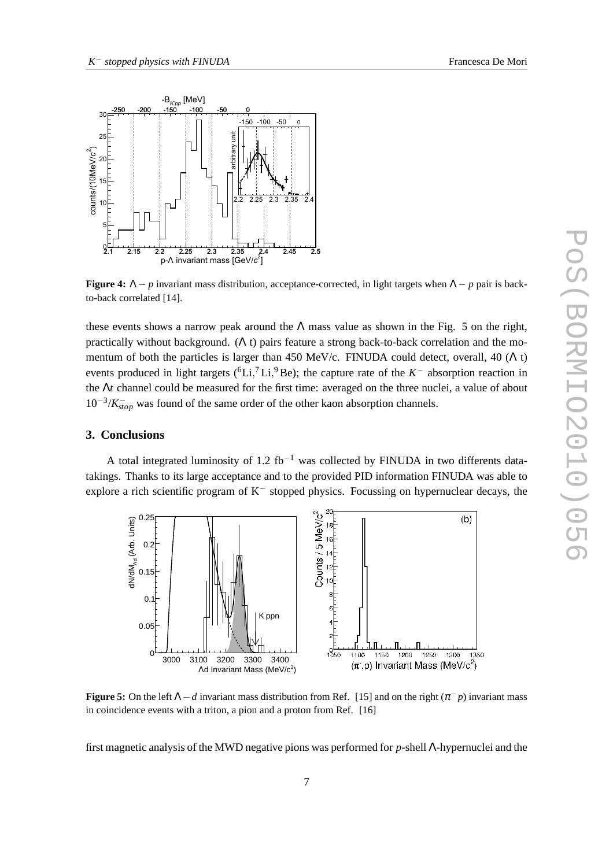

**Figure 4:**  $\Lambda - p$  invariant mass distribution, acceptance-corrected, in light targets when  $\Lambda - p$  pair is backto-back correlated [14].

these events shows a narrow peak around the  $\Lambda$  mass value as shown in the Fig. 5 on the right, practically without background. ( $\Lambda$  t) pairs feature a strong back-to-back correlation and the momentum of both the particles is larger than 450 MeV/c. FINUDA could detect, overall, 40 ( $\Lambda$  t) events produced in light targets ( ${}^{6}Li$ <sup>7</sup>, Li<sub>,</sub><sup>9</sup>Be); the capture rate of the *K*<sup>-</sup> absorption reaction in the Λ*t* channel could be measured for the first time: averaged on the three nuclei, a value of about 10<sup>-3</sup>/*K*<sub>*stop*</sub> was found of the same order of the other kaon absorption channels.

# **3. Conclusions**

A total integrated luminosity of 1.2 fb<sup>-1</sup> was collected by FINUDA in two differents datatakings. Thanks to its large acceptance and to the provided PID information FINUDA was able to explore a rich scientific program of K<sup>−</sup> stopped physics. Focussing on hypernuclear decays, the



**Figure 5:** On the left  $\Lambda - d$  invariant mass distribution from Ref. [15] and on the right  $(\pi^{-}p)$  invariant mass in coincidence events with a triton, a pion and a proton from Ref. [16]

first magnetic analysis of the MWD negative pions was performed for *p*-shell Λ-hypernuclei and the